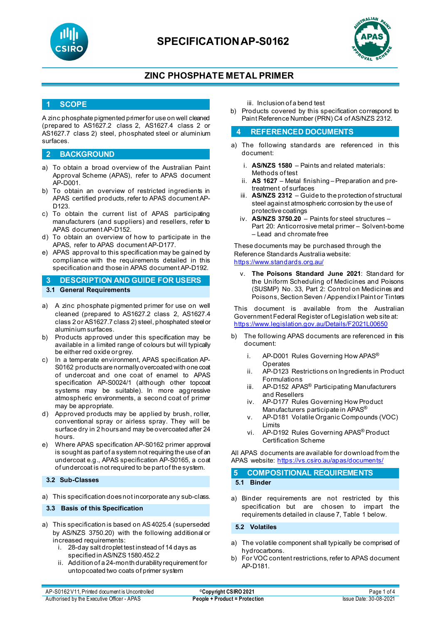

# **SPECIFICATIONAP-S0162**



## **ZINC PHOSPHATE METAL PRIMER**

### **1 SCOPE**

A zinc phosphate pigmented primer for use on well cleaned (prepared to AS1627.2 class 2, AS1627.4 class 2 or AS1627.7 class 2) steel, phosphated steel or aluminium surfaces.

### **2 BACKGROUND**

- a) To obtain a broad overview of the Australian Paint Approval Scheme (APAS), refer to APAS document AP-D001.
- b) To obtain an overview of restricted ingredients in APAS certified products, refer to APAS document AP-D<sub>123</sub>
- c) To obtain the current list of APAS participating manufacturers (and suppliers) and resellers, refer to APAS document AP-D152.
- d) To obtain an overview of how to participate in the APAS, refer to APAS document AP-D177.
- e) APAS approval to this specification may be gained by compliance with the requirements detailed in this specification and those in APAS document AP-D192.

### **3 DESCRIPTION AND GUIDE FOR USERS 3.1 General Requirements**

- a) A zinc phosphate pigmented primer for use on well cleaned (prepared to AS1627.2 class 2, AS1627.4 class 2 or AS1627.7 class 2) steel, phosphated steel or aluminium surfaces.
- b) Products approved under this specification may be available in a limited range of colours but will typically be either red oxide or grey.
- c) In a temperate environment, APAS specification AP-S0162 products are normally overcoated with one coat of undercoat and one coat of enamel to APAS specification AP-S0024/1 (although other topcoat systems may be suitable). In more aggressive atmospheric environments, a second coat of primer may be appropriate.
- d) Approved products may be applied by brush, roller, conventional spray or airless spray. They will be surface dry in 2 hours and may be overcoated after 24 hours.
- e) Where APAS specification AP-S0162 primer approval is sought as part of a system not requiring the use of an undercoat e.g., APAS specification AP-S0165, a coat of undercoat is not required to be part of the system.

### **3.2 Sub-Classes**

a) This specification does not incorporate any sub-class.

#### **3.3 Basis of this Specification**

- a) This specification is based on AS4025.4 (superseded by AS/NZS 3750.20) with the following additional or increased requirements:
	- i. 28-day salt droplet test instead of 14 days as specified in AS/NZS 1580.452.2
	- ii. Addition of a 24-month durability requirement for untopcoated two coats of primer system

iii. Inclusion of a bend test

b) Products covered by this specification correspond to Paint Reference Number (PRN) C4 of AS/NZS 2312.

### **4 REFERENCED DOCUMENTS**

- a) The following standards are referenced in this document:
	- i. **AS/NZS 1580** Paints and related materials: Methods of test
	- ii. **AS 1627**  Metal finishing Preparation and pretreatment of surfaces
	- iii. **AS/NZS 2312** Guide to the protection of structural steel against atmospheric corrosion by the use of protective coatings
	- iv. **AS/NZS 3750.20** Paints for steel structures Part 20: Anticorrosive metal primer – Solvent-borne – Lead and chromate free

These documents may be purchased through the Reference Standards Australia website: <https://www.standards.org.au/>

The Poisons Standard June 2021: Standard for the Uniform Scheduling of Medicines and Poisons (SUSMP) No. 33, Part 2: Control on Medicines and Poisons, Section Seven / Appendix I Paint or Tinters

This document is available from the Australian Government Federal Register of Legislation web site at: <https://www.legislation.gov.au/Details/F2021L00650>

- b) The following APAS documents are referenced in this document:
	- i. AP-D001 Rules Governing How APAS® **Operates**
	- ii. AP-D123 Restrictions on Ingredients in Product Formulations
	- iii. AP-D152 APAS<sup>®</sup> Participating Manufacturers and Resellers
	- iv. AP-D177 Rules Governing How Product Manufacturers participate in APAS®
	- v. AP-D181 Volatile Organic Compounds (VOC) Limits
	- vi. AP-D192 Rules Governing APAS® Product Certification Scheme

All APAS documents are available for download from the APAS website: <https://vs.csiro.au/apas/documents/>

## **5 COMPOSITIONAL REQUIREMENTS 5.1 Binder**

a) Binder requirements are not restricted by this specification but are chosen to impart the requirements detailed in clause 7, Table 1 below.

### **5.2 Volatiles**

- a) The volatile component shall typically be comprised of hydrocarbons.
- b) For VOC content restrictions, refer to APAS document AP-D181.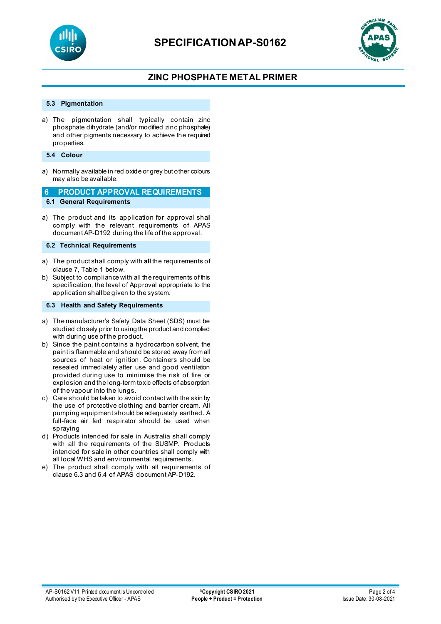



## **ZINC PHOSPHATE METAL PRIMER**

### **5.3 Pigmentation**

a) The pigmentation shall typically contain zinc phosphate dihydrate (and/or modified zinc phosphate) and other pigments necessary to achieve the required properties.

#### **5.4 Colour**

a) Normally available in red oxide or grey but other colours may also be available.

### **6 PRODUCT APPROVAL REQUIREMENTS**

**6.1 General Requirements**

a) The product and its application for approval shall comply with the relevant requirements of APAS document AP-D192 during the life of the approval.

**6.2 Technical Requirements**

- a) The product shall comply with **all** the requirements of clause 7, Table 1 below.
- b) Subject to compliance with all the requirements of this specification, the level of Approval appropriate to the application shall be given to the system.

#### **6.3 Health and Safety Requirements**

- a) The manufacturer's Safety Data Sheet (SDS) must be studied closely prior to using the product and complied with during use of the product.
- b) Since the paint contains a hydrocarbon solvent, the paint is flammable and should be stored away from all sources of heat or ignition. Containers should be resealed immediately after use and good ventilation provided during use to minimise the risk of fire or explosion and the long-term toxic effects of absorption of the vapour into the lungs.
- c) Care should be taken to avoid contact with the skin by the use of protective clothing and barrier cream. All pumping equipment should be adequately earthed. A full-face air fed respirator should be used when spraying
- d) Products intended for sale in Australia shall comply with all the requirements of the SUSMP. Products intended for sale in other countries shall comply with all local WHS and environmental requirements.
- e) The product shall comply with all requirements of clause 6.3 and 6.4 of APAS document AP-D192.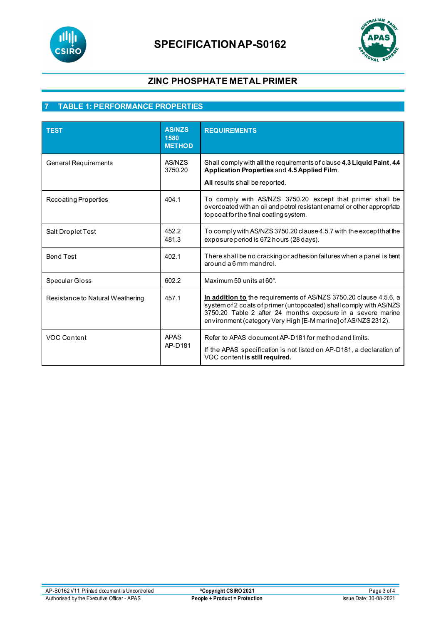



## **ZINC PHOSPHATE METAL PRIMER**

## **7 TABLE 1: PERFORMANCE PROPERTIES**

| TEST                             | <b>AS/NZS</b><br>1580<br><b>METHOD</b> | <b>REQUIREMENTS</b>                                                                                                                                                                                                                                                     |
|----------------------------------|----------------------------------------|-------------------------------------------------------------------------------------------------------------------------------------------------------------------------------------------------------------------------------------------------------------------------|
| <b>General Requirements</b>      | AS/NZS<br>3750.20                      | Shall comply with all the requirements of clause 4.3 Liquid Paint, 4.4<br>Application Properties and 4.5 Applied Film.<br>All results shall be reported.                                                                                                                |
| Recoating Properties             | 404.1                                  | To comply with AS/NZS 3750.20 except that primer shall be<br>overcoated with an oil and petrol resistant enamel or other appropriate<br>topcoat for the final coating system.                                                                                           |
| Salt Droplet Test                | 452.2<br>481.3                         | To comply with AS/NZS 3750.20 clause 4.5.7 with the except that the<br>exposure period is 672 hours (28 days).                                                                                                                                                          |
| <b>Bend Test</b>                 | 402.1                                  | There shall be no cracking or adhesion failures when a panel is bent<br>around a 6 mm mandrel.                                                                                                                                                                          |
| Specular Gloss                   | 602.2                                  | Maximum 50 units at 60°.                                                                                                                                                                                                                                                |
| Resistance to Natural Weathering | 457.1                                  | In addition to the requirements of AS/NZS 3750.20 clause 4.5.6, a<br>system of 2 coats of primer (untopcoated) shall comply with AS/NZS<br>3750.20 Table 2 after 24 months exposure in a severe marine<br>environment (category Very High [E-M marine] of AS/NZS 2312). |
| VOC Content                      | <b>APAS</b><br>AP-D181                 | Refer to APAS document AP-D181 for method and limits.<br>If the APAS specification is not listed on AP-D181, a declaration of<br>VOC content is still required.                                                                                                         |